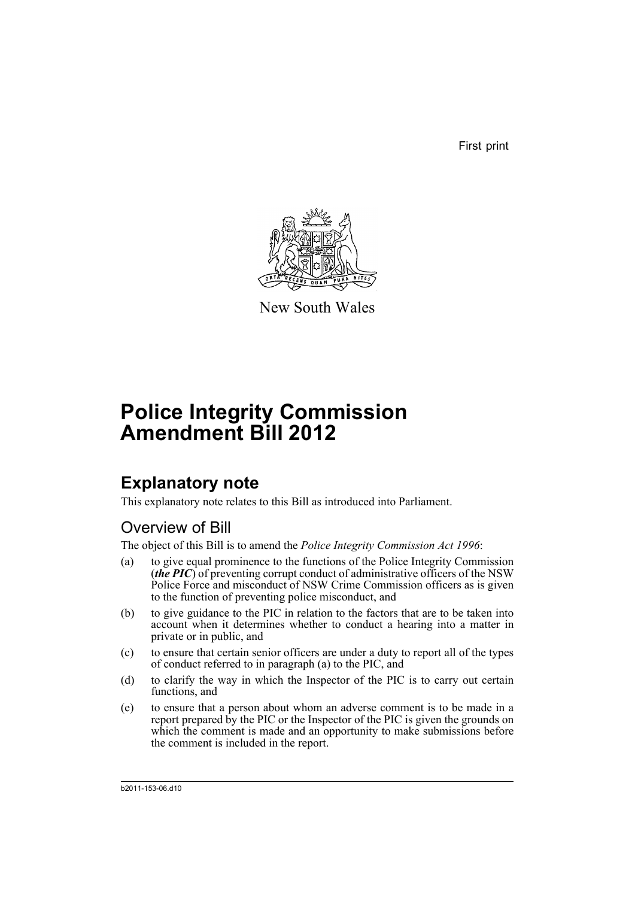First print



New South Wales

# **Police Integrity Commission Amendment Bill 2012**

## **Explanatory note**

This explanatory note relates to this Bill as introduced into Parliament.

## Overview of Bill

The object of this Bill is to amend the *Police Integrity Commission Act 1996*:

- (a) to give equal prominence to the functions of the Police Integrity Commission (*the PIC*) of preventing corrupt conduct of administrative officers of the NSW Police Force and misconduct of NSW Crime Commission officers as is given to the function of preventing police misconduct, and
- (b) to give guidance to the PIC in relation to the factors that are to be taken into account when it determines whether to conduct a hearing into a matter in private or in public, and
- (c) to ensure that certain senior officers are under a duty to report all of the types of conduct referred to in paragraph (a) to the PIC, and
- (d) to clarify the way in which the Inspector of the PIC is to carry out certain functions, and
- (e) to ensure that a person about whom an adverse comment is to be made in a report prepared by the PIC or the Inspector of the PIC is given the grounds on which the comment is made and an opportunity to make submissions before the comment is included in the report.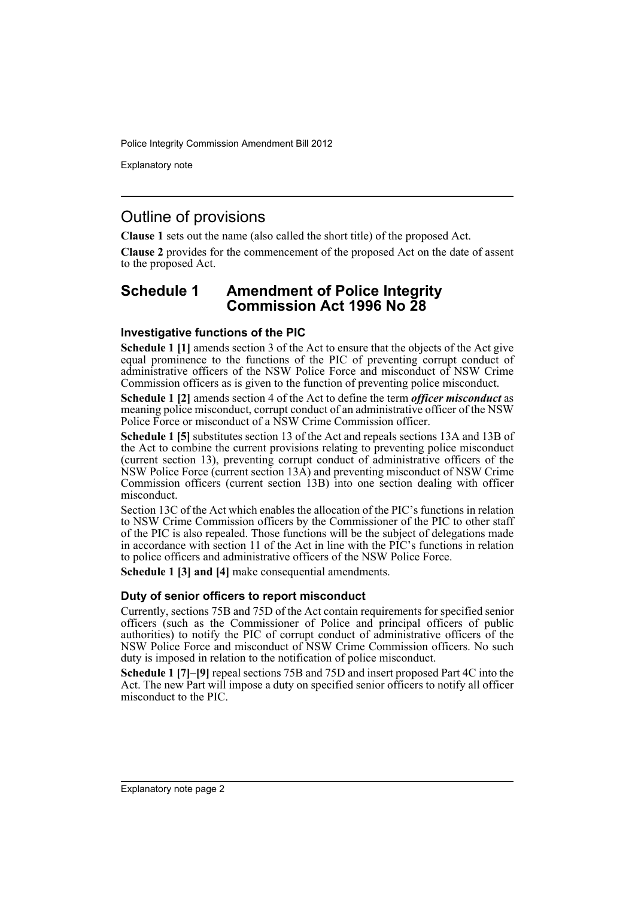Explanatory note

### Outline of provisions

**Clause 1** sets out the name (also called the short title) of the proposed Act.

**Clause 2** provides for the commencement of the proposed Act on the date of assent to the proposed Act.

### **Schedule 1 Amendment of Police Integrity Commission Act 1996 No 28**

#### **Investigative functions of the PIC**

**Schedule 1 [1]** amends section 3 of the Act to ensure that the objects of the Act give equal prominence to the functions of the PIC of preventing corrupt conduct of administrative officers of the NSW Police Force and misconduct of NSW Crime Commission officers as is given to the function of preventing police misconduct.

**Schedule 1 [2]** amends section 4 of the Act to define the term *officer misconduct* as meaning police misconduct, corrupt conduct of an administrative officer of the NSW Police Force or misconduct of a NSW Crime Commission officer.

**Schedule 1 [5]** substitutes section 13 of the Act and repeals sections 13A and 13B of the Act to combine the current provisions relating to preventing police misconduct (current section 13), preventing corrupt conduct of administrative officers of the NSW Police Force (current section 13A) and preventing misconduct of NSW Crime Commission officers (current section 13B) into one section dealing with officer misconduct.

Section 13C of the Act which enables the allocation of the PIC's functions in relation to NSW Crime Commission officers by the Commissioner of the PIC to other staff of the PIC is also repealed. Those functions will be the subject of delegations made in accordance with section 11 of the Act in line with the PIC's functions in relation to police officers and administrative officers of the NSW Police Force.

**Schedule 1 [3] and [4]** make consequential amendments.

#### **Duty of senior officers to report misconduct**

Currently, sections 75B and 75D of the Act contain requirements for specified senior officers (such as the Commissioner of Police and principal officers of public authorities) to notify the PIC of corrupt conduct of administrative officers of the NSW Police Force and misconduct of NSW Crime Commission officers. No such duty is imposed in relation to the notification of police misconduct.

**Schedule 1 [7]–[9]** repeal sections 75B and 75D and insert proposed Part 4C into the Act. The new Part will impose a duty on specified senior officers to notify all officer misconduct to the PIC.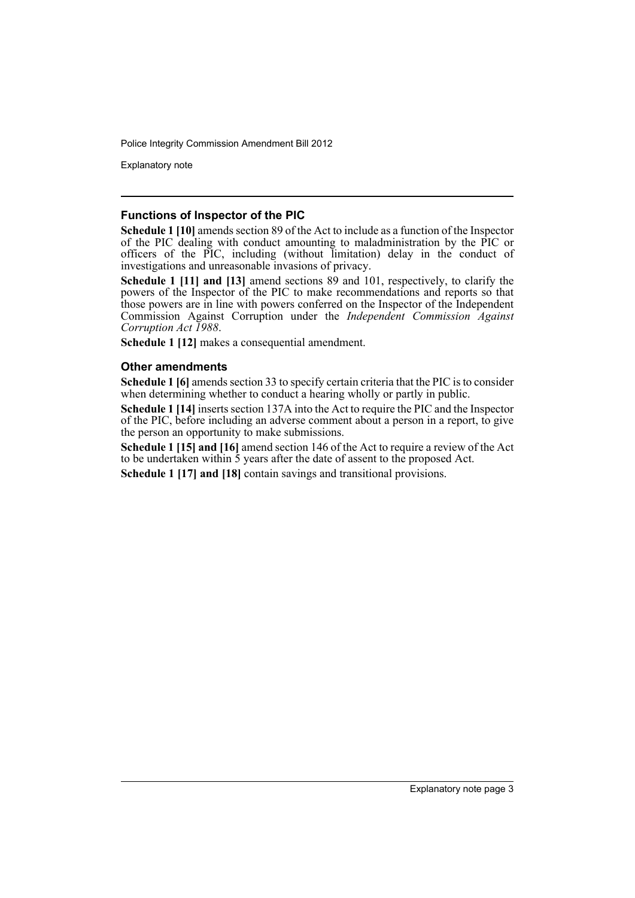Explanatory note

#### **Functions of Inspector of the PIC**

**Schedule 1 [10]** amends section 89 of the Act to include as a function of the Inspector of the PIC dealing with conduct amounting to maladministration by the PIC or officers of the PIC, including (without limitation) delay in the conduct of investigations and unreasonable invasions of privacy.

**Schedule 1 [11] and [13]** amend sections 89 and 101, respectively, to clarify the powers of the Inspector of the PIC to make recommendations and reports so that those powers are in line with powers conferred on the Inspector of the Independent Commission Against Corruption under the *Independent Commission Against Corruption Act 1988*.

**Schedule 1 [12]** makes a consequential amendment.

#### **Other amendments**

**Schedule 1 [6]** amends section 33 to specify certain criteria that the PIC is to consider when determining whether to conduct a hearing wholly or partly in public.

**Schedule 1 [14]** inserts section 137A into the Act to require the PIC and the Inspector of the PIC, before including an adverse comment about a person in a report, to give the person an opportunity to make submissions.

**Schedule 1 [15] and [16]** amend section 146 of the Act to require a review of the Act to be undertaken within 5 years after the date of assent to the proposed Act.

**Schedule 1 [17] and [18]** contain savings and transitional provisions.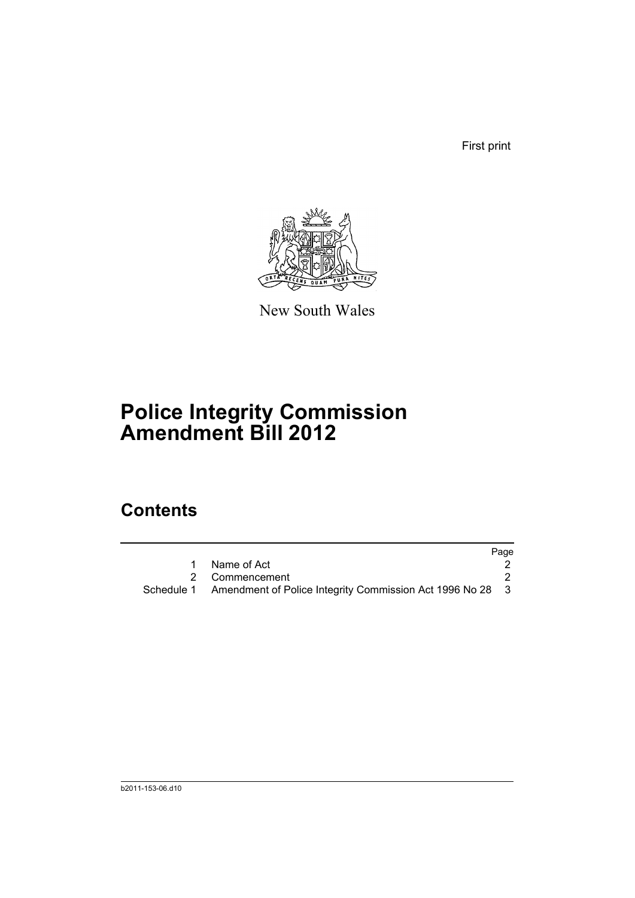First print



New South Wales

# **Police Integrity Commission Amendment Bill 2012**

## **Contents**

|                                                                      | Page |
|----------------------------------------------------------------------|------|
| Name of Act                                                          |      |
| 2 Commencement                                                       |      |
| Schedule 1 Amendment of Police Integrity Commission Act 1996 No 28 3 |      |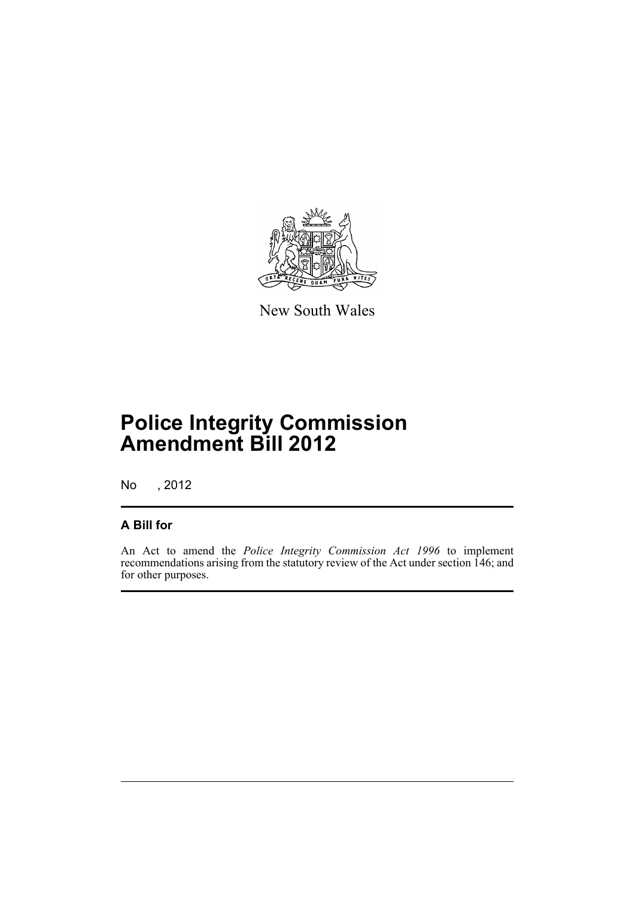

New South Wales

# **Police Integrity Commission Amendment Bill 2012**

No , 2012

### **A Bill for**

An Act to amend the *Police Integrity Commission Act 1996* to implement recommendations arising from the statutory review of the Act under section 146; and for other purposes.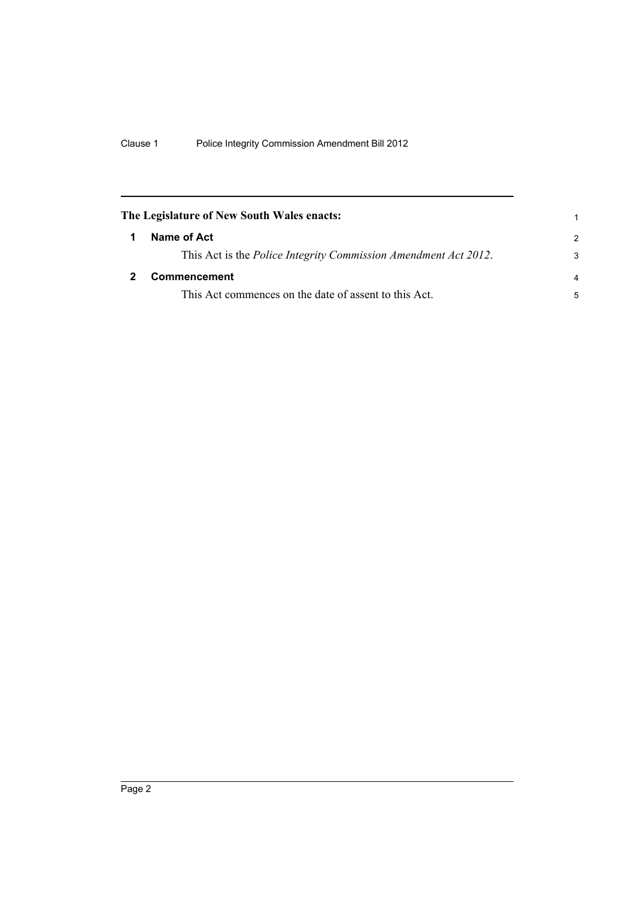<span id="page-7-1"></span><span id="page-7-0"></span>

| The Legislature of New South Wales enacts:                              |                |
|-------------------------------------------------------------------------|----------------|
| Name of Act                                                             | $\mathcal{P}$  |
| This Act is the <i>Police Integrity Commission Amendment Act 2012</i> . | 3              |
| Commencement                                                            | $\overline{a}$ |
| This Act commences on the date of assent to this Act.                   | 5              |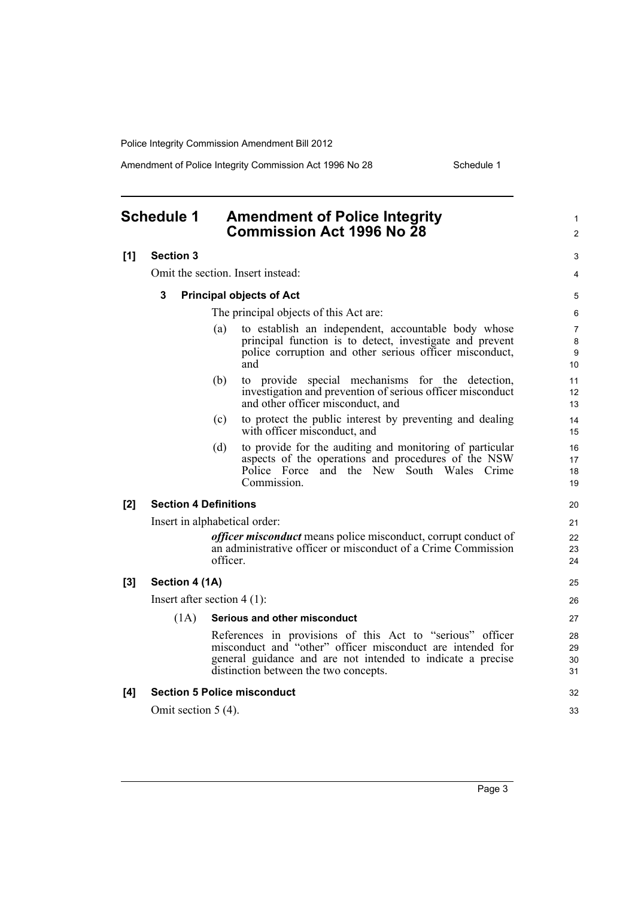Amendment of Police Integrity Commission Act 1996 No 28 Schedule 1

<span id="page-8-0"></span>

|     | <b>Schedule 1</b>             | <b>Amendment of Police Integrity</b><br><b>Commission Act 1996 No 28</b> |                                                                                                                                                                                                                                 |                                |  |  |
|-----|-------------------------------|--------------------------------------------------------------------------|---------------------------------------------------------------------------------------------------------------------------------------------------------------------------------------------------------------------------------|--------------------------------|--|--|
| [1] | <b>Section 3</b>              |                                                                          |                                                                                                                                                                                                                                 | 3                              |  |  |
|     |                               |                                                                          | Omit the section. Insert instead:                                                                                                                                                                                               | 4                              |  |  |
|     | 3                             |                                                                          | <b>Principal objects of Act</b>                                                                                                                                                                                                 | 5                              |  |  |
|     |                               |                                                                          | The principal objects of this Act are:                                                                                                                                                                                          | 6                              |  |  |
|     |                               | (a)                                                                      | to establish an independent, accountable body whose<br>principal function is to detect, investigate and prevent<br>police corruption and other serious officer misconduct,<br>and                                               | $\overline{7}$<br>8<br>9<br>10 |  |  |
|     |                               | (b)                                                                      | to provide special mechanisms for the detection,<br>investigation and prevention of serious officer misconduct<br>and other officer misconduct, and                                                                             | 11<br>12<br>13                 |  |  |
|     |                               | (c)                                                                      | to protect the public interest by preventing and dealing<br>with officer misconduct, and                                                                                                                                        | 14<br>15                       |  |  |
|     |                               | (d)                                                                      | to provide for the auditing and monitoring of particular<br>aspects of the operations and procedures of the NSW<br>Police Force<br>and the New South Wales Crime<br>Commission.                                                 | 16<br>17<br>18<br>19           |  |  |
| [2] | <b>Section 4 Definitions</b>  |                                                                          |                                                                                                                                                                                                                                 |                                |  |  |
|     | Insert in alphabetical order: |                                                                          |                                                                                                                                                                                                                                 |                                |  |  |
|     |                               | officer.                                                                 | <i>officer misconduct</i> means police misconduct, corrupt conduct of<br>an administrative officer or misconduct of a Crime Commission                                                                                          | 22<br>23<br>24                 |  |  |
| [3] | Section 4 (1A)                |                                                                          |                                                                                                                                                                                                                                 |                                |  |  |
|     | Insert after section $4(1)$ : |                                                                          |                                                                                                                                                                                                                                 |                                |  |  |
|     | (1A)                          |                                                                          | Serious and other misconduct                                                                                                                                                                                                    | 27                             |  |  |
|     |                               |                                                                          | References in provisions of this Act to "serious" officer<br>misconduct and "other" officer misconduct are intended for<br>general guidance and are not intended to indicate a precise<br>distinction between the two concepts. | 28<br>29<br>30<br>31           |  |  |
| [4] |                               |                                                                          | <b>Section 5 Police misconduct</b>                                                                                                                                                                                              | 32                             |  |  |
|     | Omit section $5(4)$ .         |                                                                          |                                                                                                                                                                                                                                 | 33                             |  |  |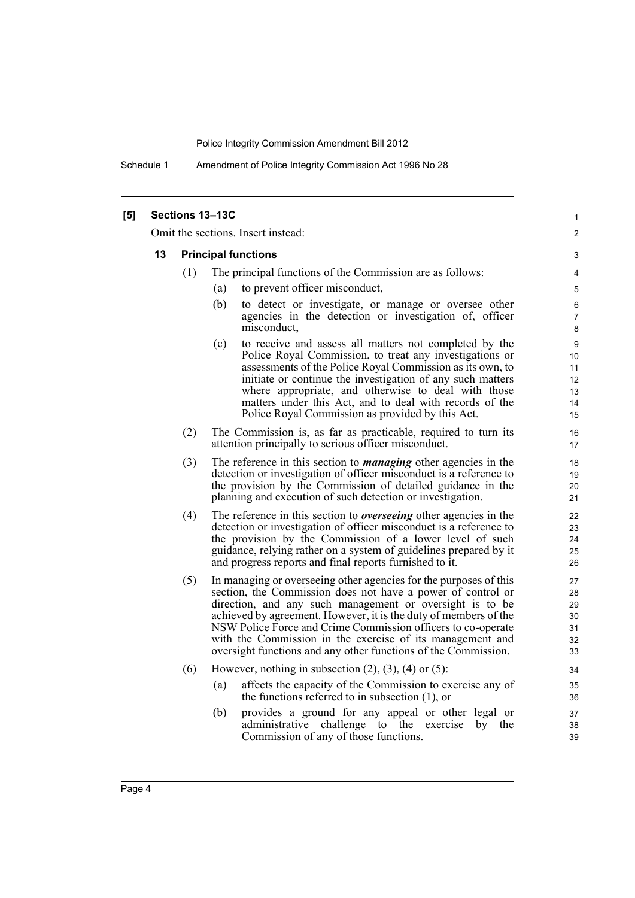Schedule 1 Amendment of Police Integrity Commission Act 1996 No 28

| [5] |                                    |     | Sections 13-13C                                                                                                                   | 1                   |  |  |  |
|-----|------------------------------------|-----|-----------------------------------------------------------------------------------------------------------------------------------|---------------------|--|--|--|
|     | Omit the sections. Insert instead: |     |                                                                                                                                   |                     |  |  |  |
|     | 13                                 |     | <b>Principal functions</b>                                                                                                        | 3                   |  |  |  |
|     |                                    | (1) | The principal functions of the Commission are as follows:                                                                         | 4                   |  |  |  |
|     |                                    |     | to prevent officer misconduct,<br>(a)                                                                                             | 5                   |  |  |  |
|     |                                    |     | (b)<br>to detect or investigate, or manage or oversee other                                                                       | 6                   |  |  |  |
|     |                                    |     | agencies in the detection or investigation of, officer<br>misconduct,                                                             | $\overline{7}$<br>8 |  |  |  |
|     |                                    |     | (c)<br>to receive and assess all matters not completed by the<br>Police Royal Commission, to treat any investigations or          | 9                   |  |  |  |
|     |                                    |     | assessments of the Police Royal Commission as its own, to                                                                         | 10<br>11            |  |  |  |
|     |                                    |     | initiate or continue the investigation of any such matters                                                                        | 12                  |  |  |  |
|     |                                    |     | where appropriate, and otherwise to deal with those<br>matters under this Act, and to deal with records of the                    | 13<br>14            |  |  |  |
|     |                                    |     | Police Royal Commission as provided by this Act.                                                                                  | 15                  |  |  |  |
|     |                                    | (2) | The Commission is, as far as practicable, required to turn its<br>attention principally to serious officer misconduct.            | 16<br>17            |  |  |  |
|     |                                    | (3) | The reference in this section to <i>managing</i> other agencies in the                                                            | 18                  |  |  |  |
|     |                                    |     | detection or investigation of officer misconduct is a reference to<br>the provision by the Commission of detailed guidance in the | 19<br>20            |  |  |  |
|     |                                    |     | planning and execution of such detection or investigation.                                                                        | 21                  |  |  |  |
|     |                                    | (4) | The reference in this section to <i>overseeing</i> other agencies in the                                                          | 22                  |  |  |  |
|     |                                    |     | detection or investigation of officer misconduct is a reference to<br>the provision by the Commission of a lower level of such    | 23<br>24            |  |  |  |
|     |                                    |     | guidance, relying rather on a system of guidelines prepared by it                                                                 | 25                  |  |  |  |
|     |                                    |     | and progress reports and final reports furnished to it.                                                                           | 26                  |  |  |  |
|     |                                    | (5) | In managing or overseeing other agencies for the purposes of this                                                                 | 27                  |  |  |  |
|     |                                    |     | section, the Commission does not have a power of control or<br>direction, and any such management or oversight is to be           | 28<br>29            |  |  |  |
|     |                                    |     | achieved by agreement. However, it is the duty of members of the                                                                  | 30                  |  |  |  |
|     |                                    |     | NSW Police Force and Crime Commission officers to co-operate                                                                      | 31                  |  |  |  |
|     |                                    |     | with the Commission in the exercise of its management and<br>oversight functions and any other functions of the Commission.       | 32<br>33            |  |  |  |
|     |                                    | (6) | However, nothing in subsection $(2)$ , $(3)$ , $(4)$ or $(5)$ :                                                                   | 34                  |  |  |  |
|     |                                    |     | affects the capacity of the Commission to exercise any of<br>(a)<br>the functions referred to in subsection $(1)$ , or            | 35<br>36            |  |  |  |
|     |                                    |     | (b)<br>provides a ground for any appeal or other legal or                                                                         | 37                  |  |  |  |
|     |                                    |     | administrative challenge to the exercise<br>by<br>the                                                                             | 38                  |  |  |  |
|     |                                    |     | Commission of any of those functions.                                                                                             | 39                  |  |  |  |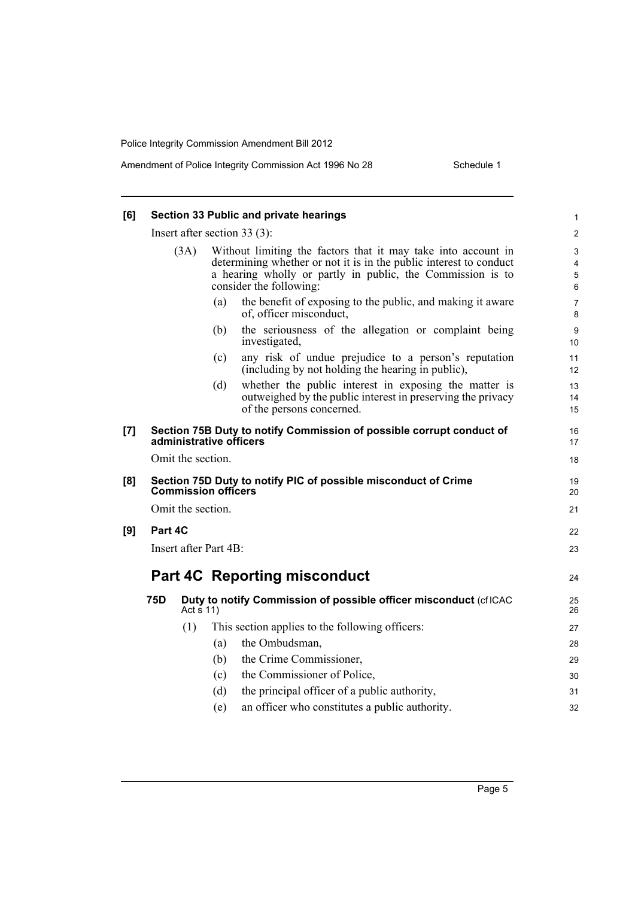| [6] | Section 33 Public and private hearings<br>Insert after section $33(3)$ : |                   |                                                                                                                                                                                                                              |                |  |
|-----|--------------------------------------------------------------------------|-------------------|------------------------------------------------------------------------------------------------------------------------------------------------------------------------------------------------------------------------------|----------------|--|
|     |                                                                          |                   |                                                                                                                                                                                                                              |                |  |
|     |                                                                          | (3A)              | Without limiting the factors that it may take into account in<br>determining whether or not it is in the public interest to conduct<br>a hearing wholly or partly in public, the Commission is to<br>consider the following: |                |  |
|     |                                                                          |                   | the benefit of exposing to the public, and making it aware<br>(a)<br>of, officer misconduct,                                                                                                                                 | 7<br>8         |  |
|     |                                                                          |                   | the seriousness of the allegation or complaint being<br>(b)<br>investigated,                                                                                                                                                 | 9<br>10        |  |
|     |                                                                          |                   | any risk of undue prejudice to a person's reputation<br>(c)<br>(including by not holding the hearing in public),                                                                                                             | 11<br>12       |  |
|     |                                                                          |                   | whether the public interest in exposing the matter is<br>(d)<br>outweighed by the public interest in preserving the privacy<br>of the persons concerned.                                                                     | 13<br>14<br>15 |  |
| [7] |                                                                          |                   | Section 75B Duty to notify Commission of possible corrupt conduct of<br>administrative officers                                                                                                                              | 16<br>17       |  |
|     |                                                                          | Omit the section. |                                                                                                                                                                                                                              | 18             |  |
| [8] |                                                                          |                   | Section 75D Duty to notify PIC of possible misconduct of Crime<br><b>Commission officers</b>                                                                                                                                 | 19<br>20       |  |
|     |                                                                          | Omit the section. |                                                                                                                                                                                                                              | 21             |  |
| [9] | Part 4C                                                                  |                   |                                                                                                                                                                                                                              | 22             |  |
|     | Insert after Part 4B:                                                    |                   |                                                                                                                                                                                                                              |                |  |
|     |                                                                          |                   | <b>Part 4C Reporting misconduct</b>                                                                                                                                                                                          | 24             |  |
|     | 75D                                                                      | Act $\bar{s}$ 11) | Duty to notify Commission of possible officer misconduct (cfICAC                                                                                                                                                             | 25<br>26       |  |
|     |                                                                          | (1)               | This section applies to the following officers:                                                                                                                                                                              | 27             |  |
|     |                                                                          |                   | the Ombudsman,<br>(a)                                                                                                                                                                                                        | 28             |  |
|     |                                                                          |                   | the Crime Commissioner,<br>(b)                                                                                                                                                                                               | 29             |  |
|     |                                                                          |                   | the Commissioner of Police,<br>(c)                                                                                                                                                                                           | 30             |  |
|     |                                                                          |                   | the principal officer of a public authority,<br>(d)                                                                                                                                                                          | 31             |  |
|     |                                                                          |                   | an officer who constitutes a public authority.<br>(e)                                                                                                                                                                        | 32             |  |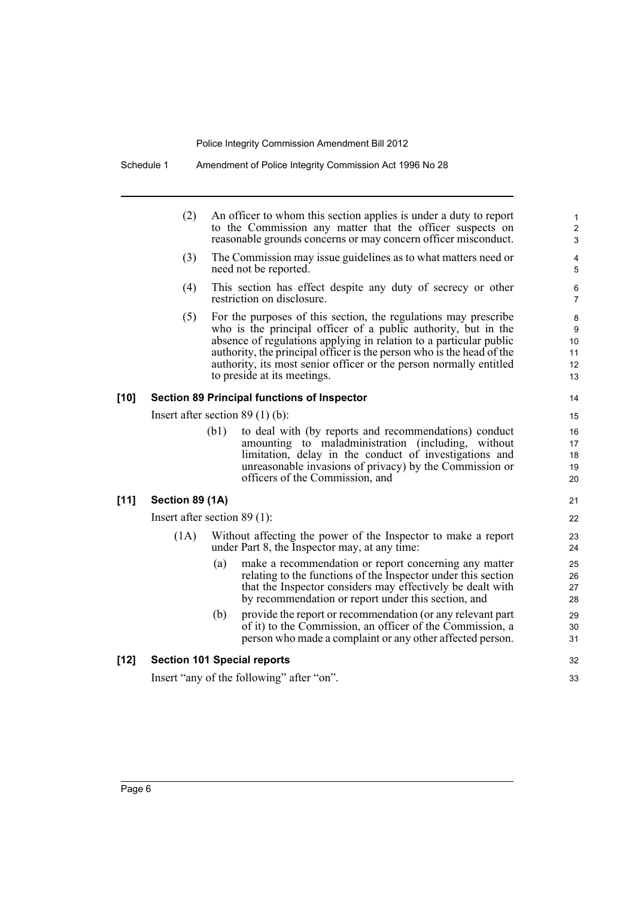|        | (2)                                                | An officer to whom this section applies is under a duty to report<br>to the Commission any matter that the officer suspects on<br>reasonable grounds concerns or may concern officer misconduct.                                                                                                                                                                                      |  |  |  |  |  |
|--------|----------------------------------------------------|---------------------------------------------------------------------------------------------------------------------------------------------------------------------------------------------------------------------------------------------------------------------------------------------------------------------------------------------------------------------------------------|--|--|--|--|--|
|        | (3)                                                | The Commission may issue guidelines as to what matters need or<br>need not be reported.                                                                                                                                                                                                                                                                                               |  |  |  |  |  |
|        | (4)                                                | This section has effect despite any duty of secrecy or other<br>restriction on disclosure.                                                                                                                                                                                                                                                                                            |  |  |  |  |  |
|        | (5)                                                | For the purposes of this section, the regulations may prescribe<br>who is the principal officer of a public authority, but in the<br>absence of regulations applying in relation to a particular public<br>authority, the principal officer is the person who is the head of the<br>authority, its most senior officer or the person normally entitled<br>to preside at its meetings. |  |  |  |  |  |
| $[10]$ | <b>Section 89 Principal functions of Inspector</b> |                                                                                                                                                                                                                                                                                                                                                                                       |  |  |  |  |  |
|        | Insert after section $89(1)(b)$ :                  |                                                                                                                                                                                                                                                                                                                                                                                       |  |  |  |  |  |
|        |                                                    | (b1)<br>to deal with (by reports and recommendations) conduct<br>amounting to maladministration (including, without<br>limitation, delay in the conduct of investigations and<br>unreasonable invasions of privacy) by the Commission or<br>officers of the Commission, and                                                                                                           |  |  |  |  |  |
| $[11]$ | Section 89 (1A)                                    |                                                                                                                                                                                                                                                                                                                                                                                       |  |  |  |  |  |
|        | Insert after section $89(1)$ :                     |                                                                                                                                                                                                                                                                                                                                                                                       |  |  |  |  |  |
|        | (1A)                                               | Without affecting the power of the Inspector to make a report<br>under Part 8, the Inspector may, at any time:                                                                                                                                                                                                                                                                        |  |  |  |  |  |
|        |                                                    | make a recommendation or report concerning any matter<br>(a)<br>relating to the functions of the Inspector under this section<br>that the Inspector considers may effectively be dealt with<br>by recommendation or report under this section, and                                                                                                                                    |  |  |  |  |  |
|        |                                                    | provide the report or recommendation (or any relevant part<br>(b)<br>of it) to the Commission, an officer of the Commission, a<br>person who made a complaint or any other affected person.                                                                                                                                                                                           |  |  |  |  |  |
| $[12]$ |                                                    | <b>Section 101 Special reports</b>                                                                                                                                                                                                                                                                                                                                                    |  |  |  |  |  |
|        |                                                    | Insert "any of the following" after "on".                                                                                                                                                                                                                                                                                                                                             |  |  |  |  |  |
|        |                                                    |                                                                                                                                                                                                                                                                                                                                                                                       |  |  |  |  |  |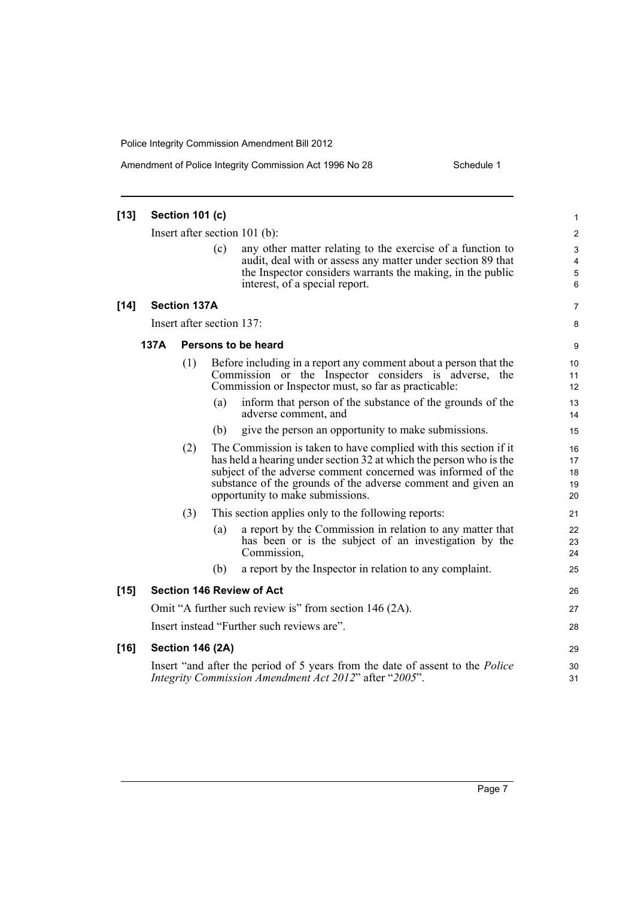Amendment of Police Integrity Commission Act 1996 No 28 Schedule 1

| $[13]$ |                               | Section 101 (c)           |     |                                                                                                                                                                                                                                                                                                            | 1                           |  |  |
|--------|-------------------------------|---------------------------|-----|------------------------------------------------------------------------------------------------------------------------------------------------------------------------------------------------------------------------------------------------------------------------------------------------------------|-----------------------------|--|--|
|        | Insert after section 101 (b): |                           |     |                                                                                                                                                                                                                                                                                                            |                             |  |  |
|        |                               |                           | (c) | any other matter relating to the exercise of a function to<br>audit, deal with or assess any matter under section 89 that<br>the Inspector considers warrants the making, in the public<br>interest, of a special report.                                                                                  | 3<br>4<br>5<br>6            |  |  |
| $[14]$ |                               | <b>Section 137A</b>       |     |                                                                                                                                                                                                                                                                                                            | 7                           |  |  |
|        |                               | Insert after section 137: |     |                                                                                                                                                                                                                                                                                                            | 8                           |  |  |
|        | 137A                          |                           |     | Persons to be heard                                                                                                                                                                                                                                                                                        | 9                           |  |  |
|        |                               | (1)                       |     | Before including in a report any comment about a person that the<br>Commission or the Inspector considers is adverse, the<br>Commission or Inspector must, so far as practicable:                                                                                                                          | 10 <sup>1</sup><br>11<br>12 |  |  |
|        |                               |                           | (a) | inform that person of the substance of the grounds of the<br>adverse comment, and                                                                                                                                                                                                                          | 13<br>14                    |  |  |
|        |                               |                           | (b) | give the person an opportunity to make submissions.                                                                                                                                                                                                                                                        | 15                          |  |  |
|        |                               | (2)                       |     | The Commission is taken to have complied with this section if it<br>has held a hearing under section 32 at which the person who is the<br>subject of the adverse comment concerned was informed of the<br>substance of the grounds of the adverse comment and given an<br>opportunity to make submissions. | 16<br>17<br>18<br>19<br>20  |  |  |
|        |                               | (3)                       |     | This section applies only to the following reports:                                                                                                                                                                                                                                                        | 21                          |  |  |
|        |                               |                           | (a) | a report by the Commission in relation to any matter that<br>has been or is the subject of an investigation by the<br>Commission,                                                                                                                                                                          | 22<br>23<br>24              |  |  |
|        |                               |                           | (b) | a report by the Inspector in relation to any complaint.                                                                                                                                                                                                                                                    | 25                          |  |  |
| $[15]$ |                               |                           |     | <b>Section 146 Review of Act</b>                                                                                                                                                                                                                                                                           | 26                          |  |  |
|        |                               |                           |     | Omit "A further such review is" from section 146 (2A).                                                                                                                                                                                                                                                     | 27                          |  |  |
|        |                               |                           |     | Insert instead "Further such reviews are".                                                                                                                                                                                                                                                                 | 28                          |  |  |
| $[16]$ | <b>Section 146 (2A)</b>       |                           |     |                                                                                                                                                                                                                                                                                                            |                             |  |  |
|        |                               |                           |     | Insert "and after the period of 5 years from the date of assent to the <i>Police</i><br>Integrity Commission Amendment Act 2012" after "2005".                                                                                                                                                             | 30<br>31                    |  |  |
|        |                               |                           |     |                                                                                                                                                                                                                                                                                                            |                             |  |  |